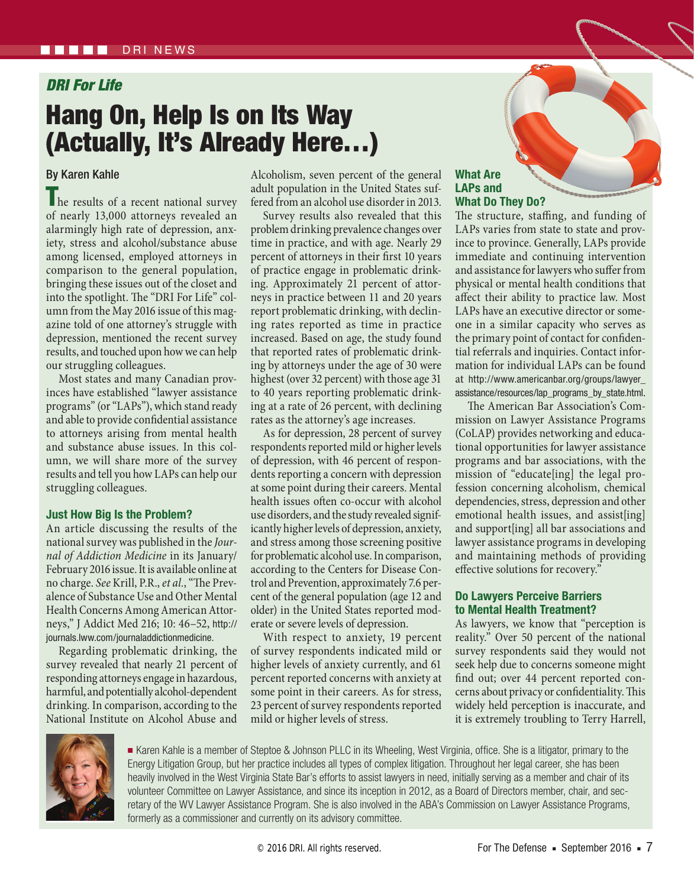# *DRI For Life*

# Hang On, Help Is on Its Way (Actually, It's Already Here…)

# By Karen Kahle

The results of a recent national survey of nearly 13,000 attorneys revealed an alarmingly high rate of depression, anxiety, stress and alcohol/substance abuse among licensed, employed attorneys in comparison to the general population, bringing these issues out of the closet and into the spotlight. The "DRI For Life" column from the May 2016 issue of this magazine told of one attorney's struggle with depression, mentioned the recent survey results, and touched upon how we can help our struggling colleagues.

Most states and many Canadian provinces have established "lawyer assistance programs" (or "LAPs"), which stand ready and able to provide confidential assistance to attorneys arising from mental health and substance abuse issues. In this column, we will share more of the survey results and tell you how LAPs can help our struggling colleagues.

#### **Just How Big Is the Problem?**

An article discussing the results of the national survey was published in the *Journal of Addiction Medicine* in its January/ February 2016 issue. It is available online at no charge. *See* Krill, P.R., *et al.*, "The Prevalence of Substance Use and Other Mental Health Concerns Among American Attorneys," J Addict Med 216; 10: 46–52, http:// journals.lww.com/journaladdictionmedicine.

Regarding problematic drinking, the survey revealed that nearly 21 percent of responding attorneys engage in hazardous, harmful, and potentially alcohol-dependent drinking. In comparison, according to the National Institute on Alcohol Abuse and

Alcoholism, seven percent of the general adult population in the United States suffered from an alcohol use disorder in 2013.

Survey results also revealed that this problem drinking prevalence changes over time in practice, and with age. Nearly 29 percent of attorneys in their first 10 years of practice engage in problematic drinking. Approximately 21 percent of attorneys in practice between 11 and 20 years report problematic drinking, with declining rates reported as time in practice increased. Based on age, the study found that reported rates of problematic drinking by attorneys under the age of 30 were highest (over 32 percent) with those age 31 to 40 years reporting problematic drinking at a rate of 26 percent, with declining rates as the attorney's age increases.

As for depression, 28 percent of survey respondents reported mild or higher levels of depression, with 46 percent of respondents reporting a concern with depression at some point during their careers. Mental health issues often co-occur with alcohol use disorders, and the study revealed significantly higher levels of depression, anxiety, and stress among those screening positive for problematic alcohol use. In comparison, according to the Centers for Disease Control and Prevention, approximately 7.6 percent of the general population (age 12 and older) in the United States reported moderate or severe levels of depression.

With respect to anxiety, 19 percent of survey respondents indicated mild or higher levels of anxiety currently, and 61 percent reported concerns with anxiety at some point in their careers. As for stress, 23 percent of survey respondents reported mild or higher levels of stress.

### **What Are LAPs and What Do They Do?**

The structure, staffing, and funding of LAPs varies from state to state and province to province. Generally, LAPs provide immediate and continuing intervention and assistance for lawyers who suffer from physical or mental health conditions that affect their ability to practice law. Most LAPs have an executive director or someone in a similar capacity who serves as the primary point of contact for confidential referrals and inquiries. Contact information for individual LAPs can be found at http://www.americanbar.org/groups/lawyer\_ assistance/resources/lap\_programs\_by\_state.html.

The American Bar Association's Commission on Lawyer Assistance Programs (CoLAP) provides networking and educational opportunities for lawyer assistance programs and bar associations, with the mission of "educate[ing] the legal profession concerning alcoholism, chemical dependencies, stress, depression and other emotional health issues, and assist[ing] and support[ing] all bar associations and lawyer assistance programs in developing and maintaining methods of providing effective solutions for recovery."

## **Do Lawyers Perceive Barriers to Mental Health Treatment?**

As lawyers, we know that "perception is reality." Over 50 percent of the national survey respondents said they would not seek help due to concerns someone might find out; over 44 percent reported concerns about privacy or confidentiality. This widely held perception is inaccurate, and it is extremely troubling to Terry Harrell,



■ Karen Kahle is a member of Steptoe & Johnson PLLC in its Wheeling, West Virginia, office. She is a litigator, primary to the Energy Litigation Group, but her practice includes all types of complex litigation. Throughout her legal career, she has been heavily involved in the West Virginia State Bar's efforts to assist lawyers in need, initially serving as a member and chair of its volunteer Committee on Lawyer Assistance, and since its inception in 2012, as a Board of Directors member, chair, and secretary of the WV Lawyer Assistance Program. She is also involved in the ABA's Commission on Lawyer Assistance Programs, formerly as a commissioner and currently on its advisory committee.